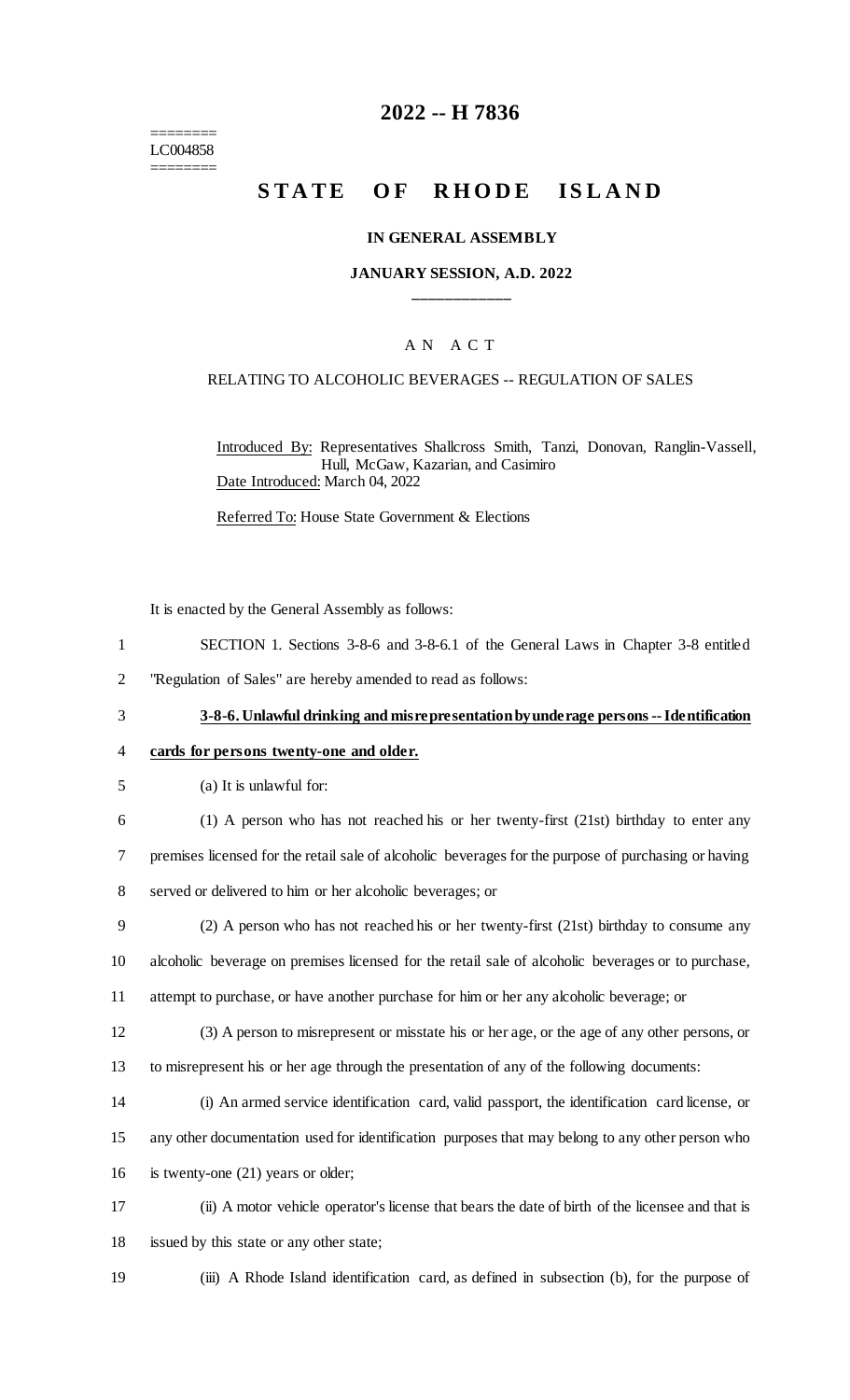======== LC004858 ========

# **2022 -- H 7836**

# **STATE OF RHODE ISLAND**

### **IN GENERAL ASSEMBLY**

### **JANUARY SESSION, A.D. 2022 \_\_\_\_\_\_\_\_\_\_\_\_**

### A N A C T

### RELATING TO ALCOHOLIC BEVERAGES -- REGULATION OF SALES

Introduced By: Representatives Shallcross Smith, Tanzi, Donovan, Ranglin-Vassell, Hull, McGaw, Kazarian, and Casimiro Date Introduced: March 04, 2022

Referred To: House State Government & Elections

It is enacted by the General Assembly as follows:

- 1 SECTION 1. Sections 3-8-6 and 3-8-6.1 of the General Laws in Chapter 3-8 entitled
- 2 "Regulation of Sales" are hereby amended to read as follows:
- 

### 3 **3-8-6. Unlawful drinking and misrepresentation by underage persons --Identification**

### 4 **cards for persons twenty-one and older.**

- 5 (a) It is unlawful for:
- 

6 (1) A person who has not reached his or her twenty-first (21st) birthday to enter any 7 premises licensed for the retail sale of alcoholic beverages for the purpose of purchasing or having 8 served or delivered to him or her alcoholic beverages; or

- 9 (2) A person who has not reached his or her twenty-first (21st) birthday to consume any 10 alcoholic beverage on premises licensed for the retail sale of alcoholic beverages or to purchase,
- 11 attempt to purchase, or have another purchase for him or her any alcoholic beverage; or
- 12 (3) A person to misrepresent or misstate his or her age, or the age of any other persons, or 13 to misrepresent his or her age through the presentation of any of the following documents:
- 14 (i) An armed service identification card, valid passport, the identification card license, or
- 15 any other documentation used for identification purposes that may belong to any other person who
- 16 is twenty-one (21) years or older;
- 17 (ii) A motor vehicle operator's license that bears the date of birth of the licensee and that is 18 issued by this state or any other state;
- 

19 (iii) A Rhode Island identification card, as defined in subsection (b), for the purpose of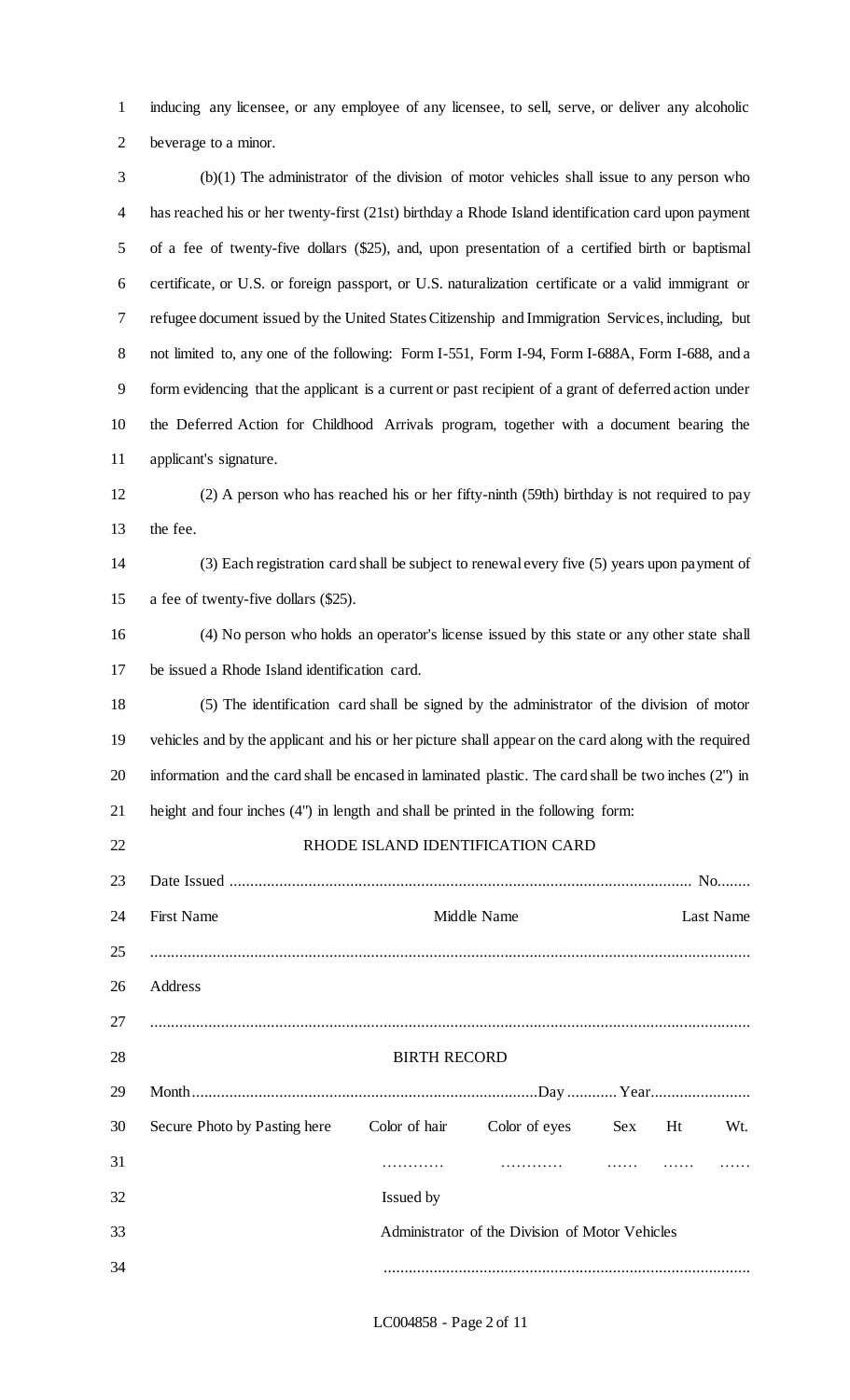inducing any licensee, or any employee of any licensee, to sell, serve, or deliver any alcoholic beverage to a minor.

 (b)(1) The administrator of the division of motor vehicles shall issue to any person who has reached his or her twenty-first (21st) birthday a Rhode Island identification card upon payment of a fee of twenty-five dollars (\$25), and, upon presentation of a certified birth or baptismal certificate, or U.S. or foreign passport, or U.S. naturalization certificate or a valid immigrant or refugee document issued by the United States Citizenship and Immigration Services, including, but not limited to, any one of the following: Form I-551, Form I-94, Form I-688A, Form I-688, and a form evidencing that the applicant is a current or past recipient of a grant of deferred action under the Deferred Action for Childhood Arrivals program, together with a document bearing the applicant's signature.

 (2) A person who has reached his or her fifty-ninth (59th) birthday is not required to pay the fee.

 (3) Each registration card shall be subject to renewal every five (5) years upon payment of a fee of twenty-five dollars (\$25).

 (4) No person who holds an operator's license issued by this state or any other state shall be issued a Rhode Island identification card.

 (5) The identification card shall be signed by the administrator of the division of motor vehicles and by the applicant and his or her picture shall appear on the card along with the required information and the card shall be encased in laminated plastic. The card shall be two inches (2") in height and four inches (4") in length and shall be printed in the following form:

| 22 |                                                 |                          | RHODE ISLAND IDENTIFICATION CARD |        |  |     |  |  |
|----|-------------------------------------------------|--------------------------|----------------------------------|--------|--|-----|--|--|
| 23 |                                                 |                          |                                  |        |  |     |  |  |
| 24 | <b>First Name</b>                               | Middle Name<br>Last Name |                                  |        |  |     |  |  |
| 25 |                                                 |                          |                                  |        |  |     |  |  |
| 26 | Address                                         |                          |                                  |        |  |     |  |  |
|    |                                                 |                          |                                  |        |  |     |  |  |
| 28 | <b>BIRTH RECORD</b>                             |                          |                                  |        |  |     |  |  |
| 29 |                                                 |                          |                                  |        |  |     |  |  |
| 30 | Secure Photo by Pasting here Color of hair      |                          | Color of eyes                    | Sex Ht |  | Wt. |  |  |
| 31 |                                                 |                          |                                  |        |  |     |  |  |
| 32 |                                                 | Issued by                |                                  |        |  |     |  |  |
| 33 | Administrator of the Division of Motor Vehicles |                          |                                  |        |  |     |  |  |
| 34 |                                                 |                          |                                  |        |  |     |  |  |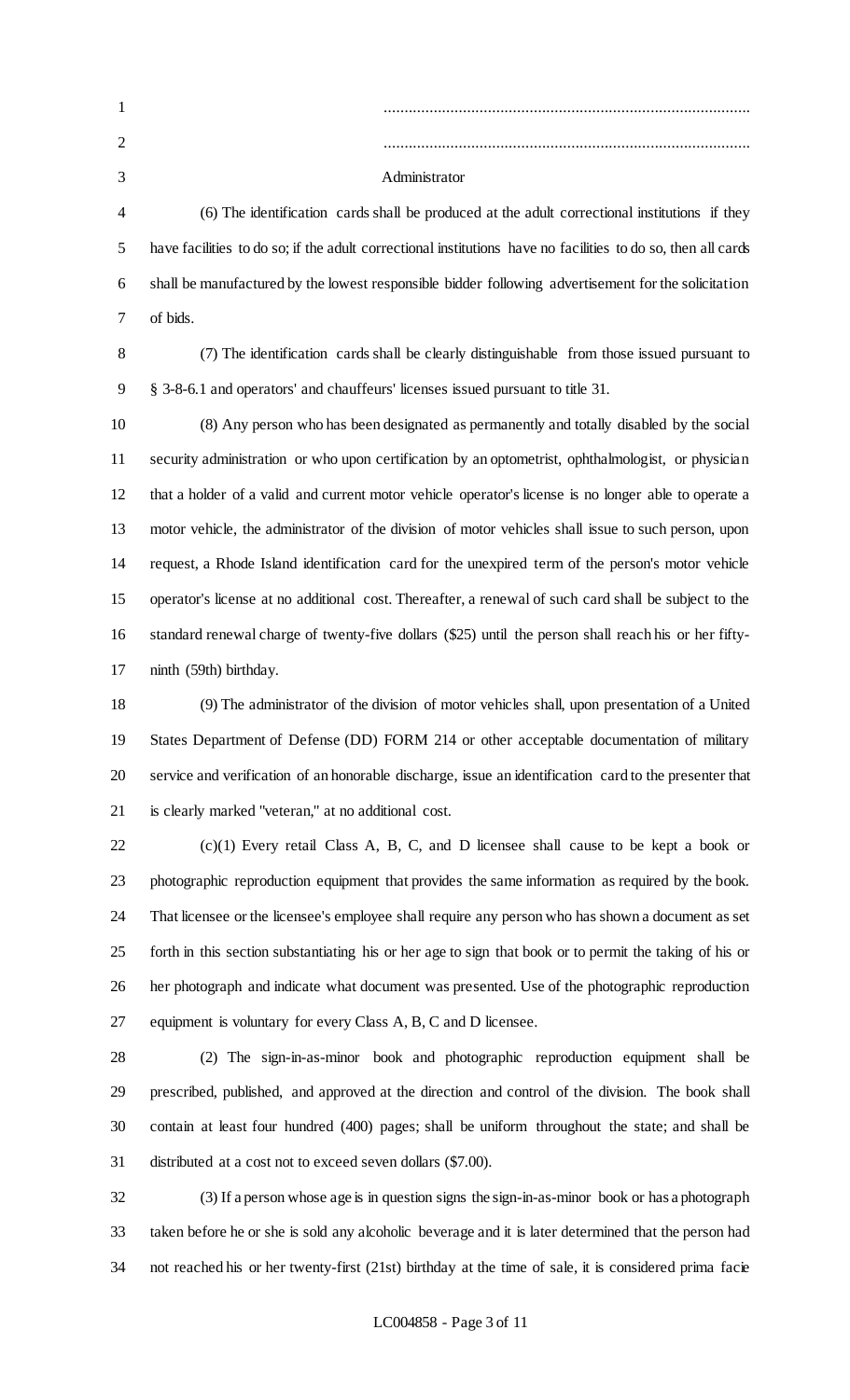| $\mathbf{1}$   |                                                                                                              |
|----------------|--------------------------------------------------------------------------------------------------------------|
| 2              |                                                                                                              |
| 3              | Administrator                                                                                                |
| $\overline{4}$ | (6) The identification cards shall be produced at the adult correctional institutions if they                |
| 5              | have facilities to do so; if the adult correctional institutions have no facilities to do so, then all cards |
| 6              | shall be manufactured by the lowest responsible bidder following advertisement for the solicitation          |
| 7              | of bids.                                                                                                     |
| 8              | (7) The identification cards shall be clearly distinguishable from those issued pursuant to                  |
| 9              | § 3-8-6.1 and operators' and chauffeurs' licenses issued pursuant to title 31.                               |
| 10             | (8) Any person who has been designated as permanently and totally disabled by the social                     |
| 11             | security administration or who upon certification by an optometrist, ophthalmologist, or physician           |
| 12             | that a holder of a valid and current motor vehicle operator's license is no longer able to operate a         |
| 13             | motor vehicle, the administrator of the division of motor vehicles shall issue to such person, upon          |
| 14             | request, a Rhode Island identification card for the unexpired term of the person's motor vehicle             |
| 15             | operator's license at no additional cost. Thereafter, a renewal of such card shall be subject to the         |
| 16             | standard renewal charge of twenty-five dollars (\$25) until the person shall reach his or her fifty-         |
| 17             | ninth (59th) birthday.                                                                                       |
| 18             | (9) The administrator of the division of motor vehicles shall, upon presentation of a United                 |
| 19             | States Department of Defense (DD) FORM 214 or other acceptable documentation of military                     |
| 20             | service and verification of an honorable discharge, issue an identification card to the presenter that       |
| 21             | is clearly marked "veteran," at no additional cost.                                                          |
| 22             | $(c)(1)$ Every retail Class A, B, C, and D licensee shall cause to be kept a book or                         |
| 23             | photographic reproduction equipment that provides the same information as required by the book.              |

 That licensee or the licensee's employee shall require any person who has shown a document as set forth in this section substantiating his or her age to sign that book or to permit the taking of his or her photograph and indicate what document was presented. Use of the photographic reproduction equipment is voluntary for every Class A, B, C and D licensee.

 (2) The sign-in-as-minor book and photographic reproduction equipment shall be prescribed, published, and approved at the direction and control of the division. The book shall contain at least four hundred (400) pages; shall be uniform throughout the state; and shall be distributed at a cost not to exceed seven dollars (\$7.00).

 (3) If a person whose age is in question signs the sign-in-as-minor book or has a photograph taken before he or she is sold any alcoholic beverage and it is later determined that the person had not reached his or her twenty-first (21st) birthday at the time of sale, it is considered prima facie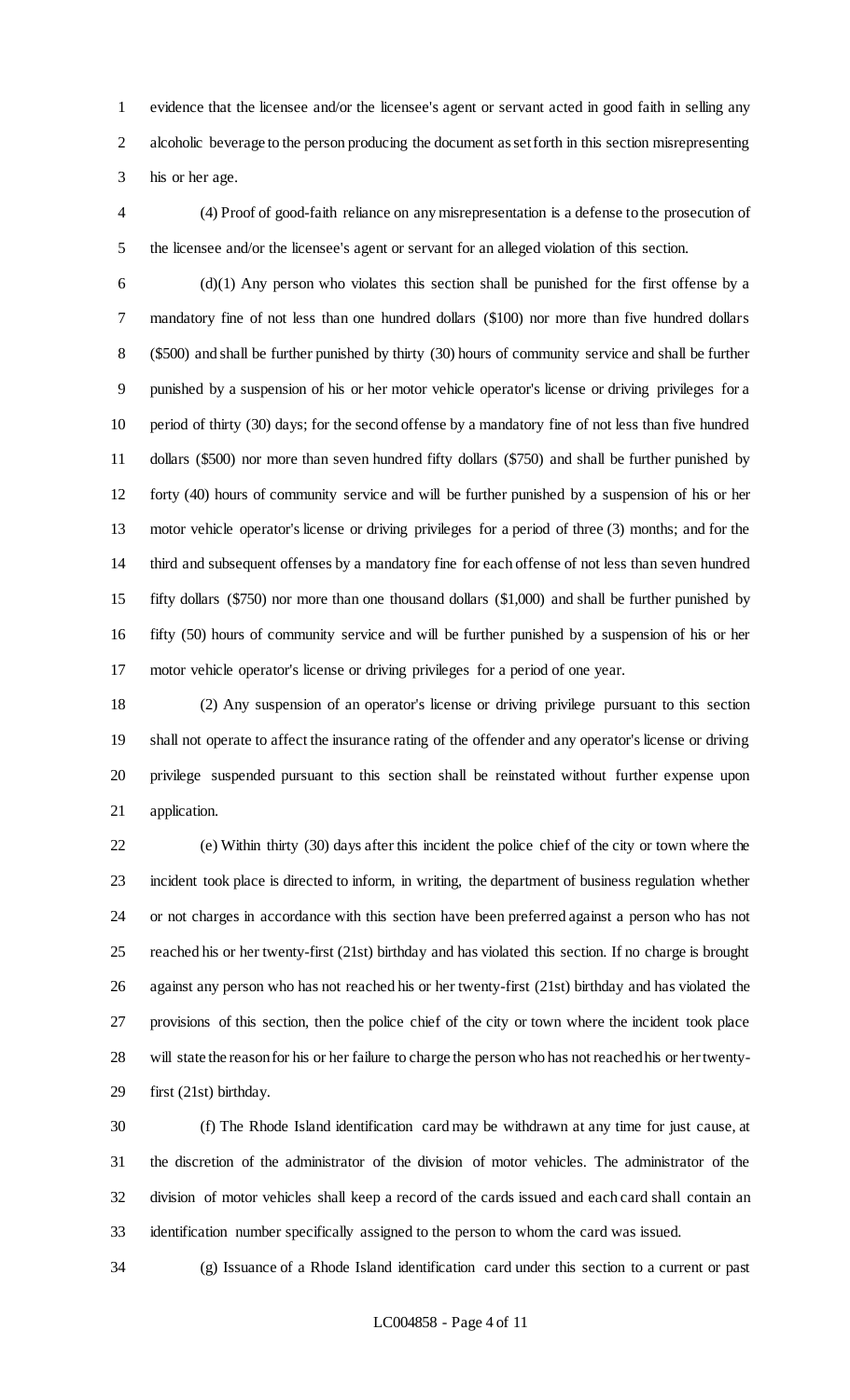evidence that the licensee and/or the licensee's agent or servant acted in good faith in selling any alcoholic beverage to the person producing the document as set forth in this section misrepresenting his or her age.

 (4) Proof of good-faith reliance on any misrepresentation is a defense to the prosecution of the licensee and/or the licensee's agent or servant for an alleged violation of this section.

 (d)(1) Any person who violates this section shall be punished for the first offense by a mandatory fine of not less than one hundred dollars (\$100) nor more than five hundred dollars (\$500) and shall be further punished by thirty (30) hours of community service and shall be further punished by a suspension of his or her motor vehicle operator's license or driving privileges for a period of thirty (30) days; for the second offense by a mandatory fine of not less than five hundred dollars (\$500) nor more than seven hundred fifty dollars (\$750) and shall be further punished by forty (40) hours of community service and will be further punished by a suspension of his or her motor vehicle operator's license or driving privileges for a period of three (3) months; and for the third and subsequent offenses by a mandatory fine for each offense of not less than seven hundred fifty dollars (\$750) nor more than one thousand dollars (\$1,000) and shall be further punished by fifty (50) hours of community service and will be further punished by a suspension of his or her motor vehicle operator's license or driving privileges for a period of one year.

 (2) Any suspension of an operator's license or driving privilege pursuant to this section shall not operate to affect the insurance rating of the offender and any operator's license or driving privilege suspended pursuant to this section shall be reinstated without further expense upon application.

 (e) Within thirty (30) days after this incident the police chief of the city or town where the incident took place is directed to inform, in writing, the department of business regulation whether or not charges in accordance with this section have been preferred against a person who has not reached his or her twenty-first (21st) birthday and has violated this section. If no charge is brought against any person who has not reached his or her twenty-first (21st) birthday and has violated the provisions of this section, then the police chief of the city or town where the incident took place will state the reason for his or her failure to charge the person who has not reached his or her twenty-first (21st) birthday.

 (f) The Rhode Island identification card may be withdrawn at any time for just cause, at the discretion of the administrator of the division of motor vehicles. The administrator of the division of motor vehicles shall keep a record of the cards issued and each card shall contain an identification number specifically assigned to the person to whom the card was issued.

(g) Issuance of a Rhode Island identification card under this section to a current or past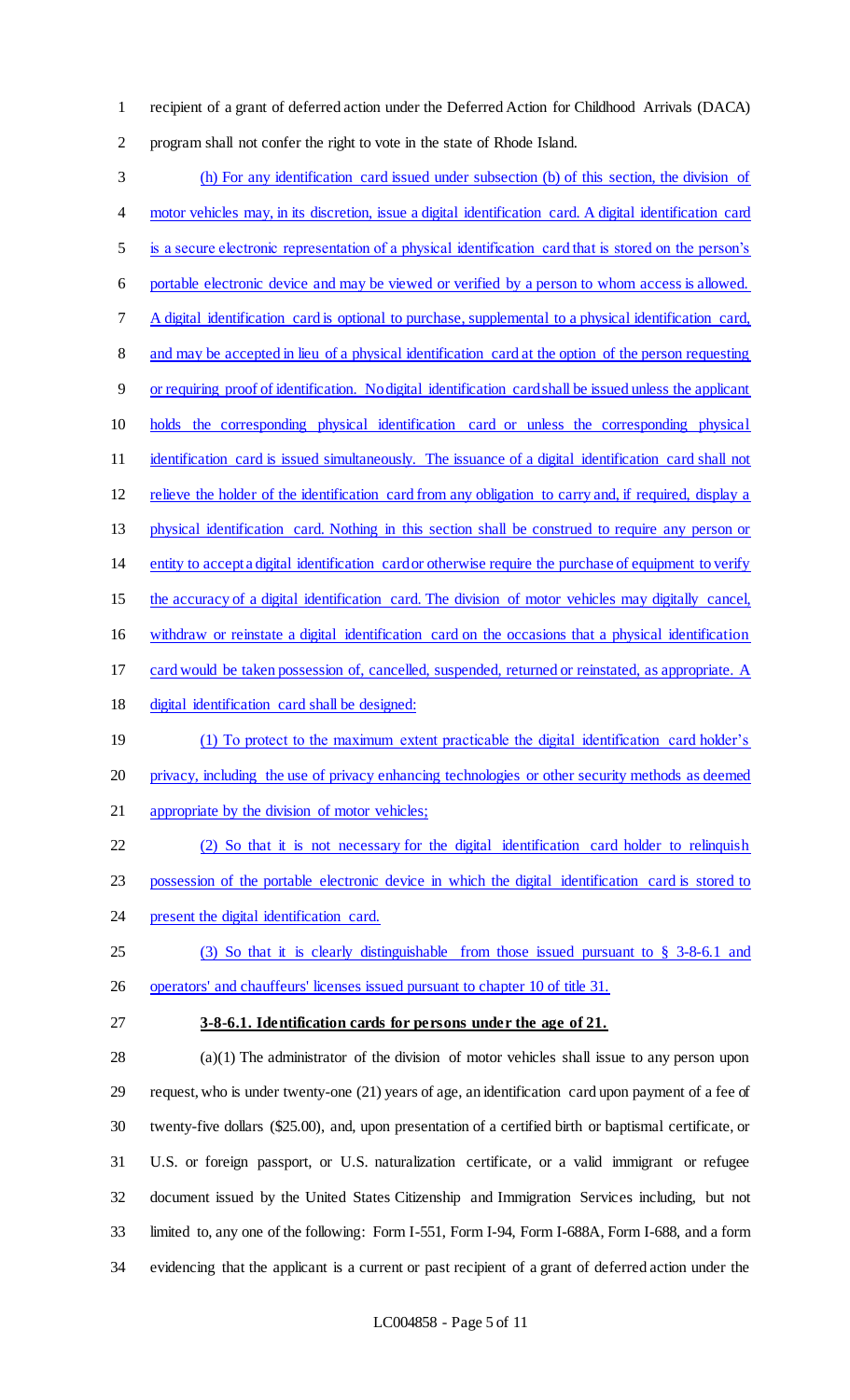recipient of a grant of deferred action under the Deferred Action for Childhood Arrivals (DACA) program shall not confer the right to vote in the state of Rhode Island.

 (h) For any identification card issued under subsection (b) of this section, the division of motor vehicles may, in its discretion, issue a digital identification card. A digital identification card is a secure electronic representation of a physical identification card that is stored on the person's portable electronic device and may be viewed or verified by a person to whom access is allowed. A digital identification card is optional to purchase, supplemental to a physical identification card, 8 and may be accepted in lieu of a physical identification card at the option of the person requesting or requiring proof of identification. No digital identification card shall be issued unless the applicant holds the corresponding physical identification card or unless the corresponding physical identification card is issued simultaneously. The issuance of a digital identification card shall not relieve the holder of the identification card from any obligation to carry and, if required, display a physical identification card. Nothing in this section shall be construed to require any person or entity to accept a digital identification card or otherwise require the purchase of equipment to verify the accuracy of a digital identification card. The division of motor vehicles may digitally cancel, withdraw or reinstate a digital identification card on the occasions that a physical identification card would be taken possession of, cancelled, suspended, returned or reinstated, as appropriate. A digital identification card shall be designed: (1) To protect to the maximum extent practicable the digital identification card holder's privacy, including the use of privacy enhancing technologies or other security methods as deemed appropriate by the division of motor vehicles; (2) So that it is not necessary for the digital identification card holder to relinquish possession of the portable electronic device in which the digital identification card is stored to 24 present the digital identification card. (3) So that it is clearly distinguishable from those issued pursuant to § 3-8-6.1 and operators' and chauffeurs' licenses issued pursuant to chapter 10 of title 31. **3-8-6.1. Identification cards for persons under the age of 21.** (a)(1) The administrator of the division of motor vehicles shall issue to any person upon request, who is under twenty-one (21) years of age, an identification card upon payment of a fee of twenty-five dollars (\$25.00), and, upon presentation of a certified birth or baptismal certificate, or U.S. or foreign passport, or U.S. naturalization certificate, or a valid immigrant or refugee document issued by the United States Citizenship and Immigration Services including, but not

 limited to, any one of the following: Form I-551, Form I-94, Form I-688A, Form I-688, and a form evidencing that the applicant is a current or past recipient of a grant of deferred action under the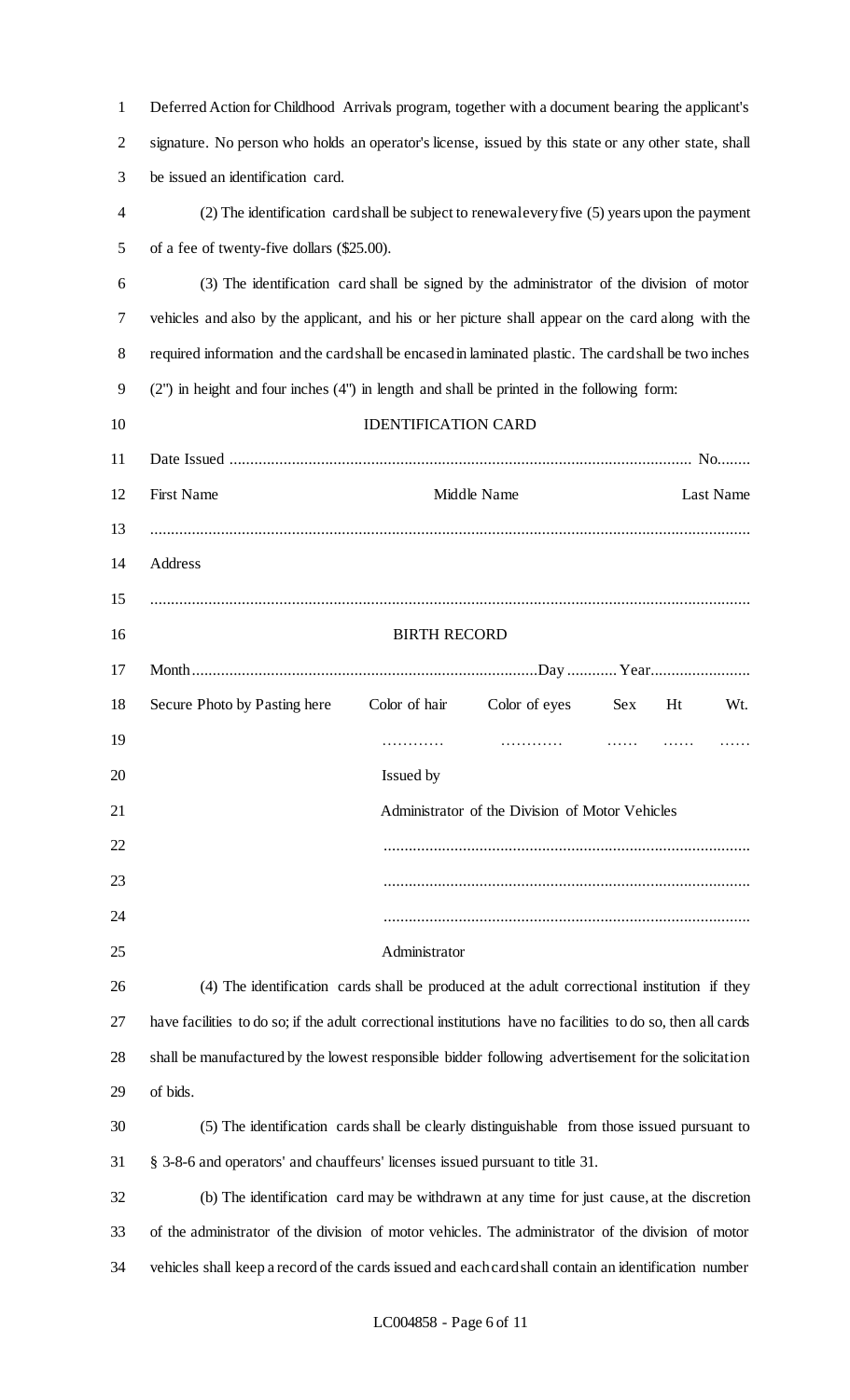| $\mathbf{1}$   | Deferred Action for Childhood Arrivals program, together with a document bearing the applicant's             |  |  |  |  |  |  |
|----------------|--------------------------------------------------------------------------------------------------------------|--|--|--|--|--|--|
| $\overline{2}$ | signature. No person who holds an operator's license, issued by this state or any other state, shall         |  |  |  |  |  |  |
| 3              | be issued an identification card.                                                                            |  |  |  |  |  |  |
| 4              | (2) The identification card shall be subject to renewal every five (5) years upon the payment                |  |  |  |  |  |  |
| 5              | of a fee of twenty-five dollars (\$25.00).                                                                   |  |  |  |  |  |  |
| 6              | (3) The identification card shall be signed by the administrator of the division of motor                    |  |  |  |  |  |  |
| 7              | vehicles and also by the applicant, and his or her picture shall appear on the card along with the           |  |  |  |  |  |  |
| 8              | required information and the card shall be encased in laminated plastic. The card shall be two inches        |  |  |  |  |  |  |
| 9              | (2") in height and four inches (4") in length and shall be printed in the following form:                    |  |  |  |  |  |  |
| 10             | <b>IDENTIFICATION CARD</b>                                                                                   |  |  |  |  |  |  |
| 11             |                                                                                                              |  |  |  |  |  |  |
| 12             | <b>First Name</b><br>Middle Name<br>Last Name                                                                |  |  |  |  |  |  |
| 13             |                                                                                                              |  |  |  |  |  |  |
| 14             | Address                                                                                                      |  |  |  |  |  |  |
| 15             |                                                                                                              |  |  |  |  |  |  |
| 16             | <b>BIRTH RECORD</b>                                                                                          |  |  |  |  |  |  |
| 17             |                                                                                                              |  |  |  |  |  |  |
| 18             | Secure Photo by Pasting here<br>Color of hair<br>Color of eyes<br>Ht<br>Wt.<br>Sex                           |  |  |  |  |  |  |
| 19             |                                                                                                              |  |  |  |  |  |  |
| 20             | Issued by                                                                                                    |  |  |  |  |  |  |
| 21             | Administrator of the Division of Motor Vehicles                                                              |  |  |  |  |  |  |
| 22             |                                                                                                              |  |  |  |  |  |  |
| 23             |                                                                                                              |  |  |  |  |  |  |
| 24             |                                                                                                              |  |  |  |  |  |  |
| 25             | Administrator                                                                                                |  |  |  |  |  |  |
| 26             | (4) The identification cards shall be produced at the adult correctional institution if they                 |  |  |  |  |  |  |
| 27             | have facilities to do so; if the adult correctional institutions have no facilities to do so, then all cards |  |  |  |  |  |  |
| 28             | shall be manufactured by the lowest responsible bidder following advertisement for the solicitation          |  |  |  |  |  |  |
| 29             | of bids.                                                                                                     |  |  |  |  |  |  |
| 30             | (5) The identification cards shall be clearly distinguishable from those issued pursuant to                  |  |  |  |  |  |  |
| 31             | § 3-8-6 and operators' and chauffeurs' licenses issued pursuant to title 31.                                 |  |  |  |  |  |  |
| 32             | (b) The identification card may be withdrawn at any time for just cause, at the discretion                   |  |  |  |  |  |  |
| 33             | of the administrator of the division of motor vehicles. The administrator of the division of motor           |  |  |  |  |  |  |
| 34             | vehicles shall keep a record of the cards issued and each card shall contain an identification number        |  |  |  |  |  |  |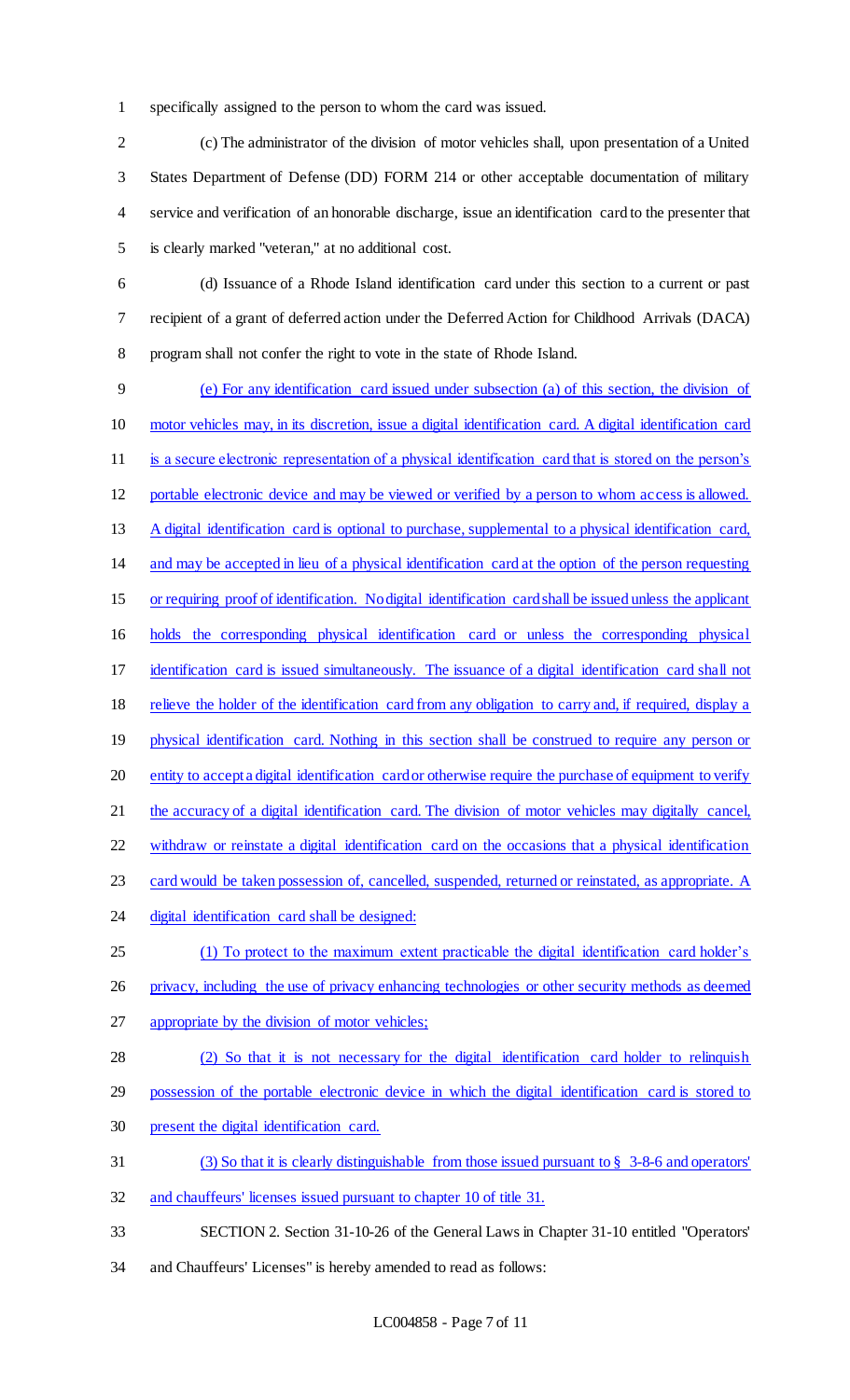specifically assigned to the person to whom the card was issued.

 (c) The administrator of the division of motor vehicles shall, upon presentation of a United States Department of Defense (DD) FORM 214 or other acceptable documentation of military service and verification of an honorable discharge, issue an identification card to the presenter that is clearly marked "veteran," at no additional cost.

 (d) Issuance of a Rhode Island identification card under this section to a current or past recipient of a grant of deferred action under the Deferred Action for Childhood Arrivals (DACA) program shall not confer the right to vote in the state of Rhode Island.

 (e) For any identification card issued under subsection (a) of this section, the division of motor vehicles may, in its discretion, issue a digital identification card. A digital identification card is a secure electronic representation of a physical identification card that is stored on the person's portable electronic device and may be viewed or verified by a person to whom access is allowed. 13 A digital identification card is optional to purchase, supplemental to a physical identification card, and may be accepted in lieu of a physical identification card at the option of the person requesting or requiring proof of identification. No digital identification card shall be issued unless the applicant holds the corresponding physical identification card or unless the corresponding physical identification card is issued simultaneously. The issuance of a digital identification card shall not 18 relieve the holder of the identification card from any obligation to carry and, if required, display a 19 physical identification card. Nothing in this section shall be construed to require any person or 20 entity to accept a digital identification card or otherwise require the purchase of equipment to verify the accuracy of a digital identification card. The division of motor vehicles may digitally cancel, withdraw or reinstate a digital identification card on the occasions that a physical identification card would be taken possession of, cancelled, suspended, returned or reinstated, as appropriate. A 24 digital identification card shall be designed: (1) To protect to the maximum extent practicable the digital identification card holder's privacy, including the use of privacy enhancing technologies or other security methods as deemed appropriate by the division of motor vehicles; (2) So that it is not necessary for the digital identification card holder to relinquish possession of the portable electronic device in which the digital identification card is stored to present the digital identification card. (3) So that it is clearly distinguishable from those issued pursuant to § 3-8-6 and operators' 32 and chauffeurs' licenses issued pursuant to chapter 10 of title 31. SECTION 2. Section 31-10-26 of the General Laws in Chapter 31-10 entitled "Operators'

and Chauffeurs' Licenses" is hereby amended to read as follows: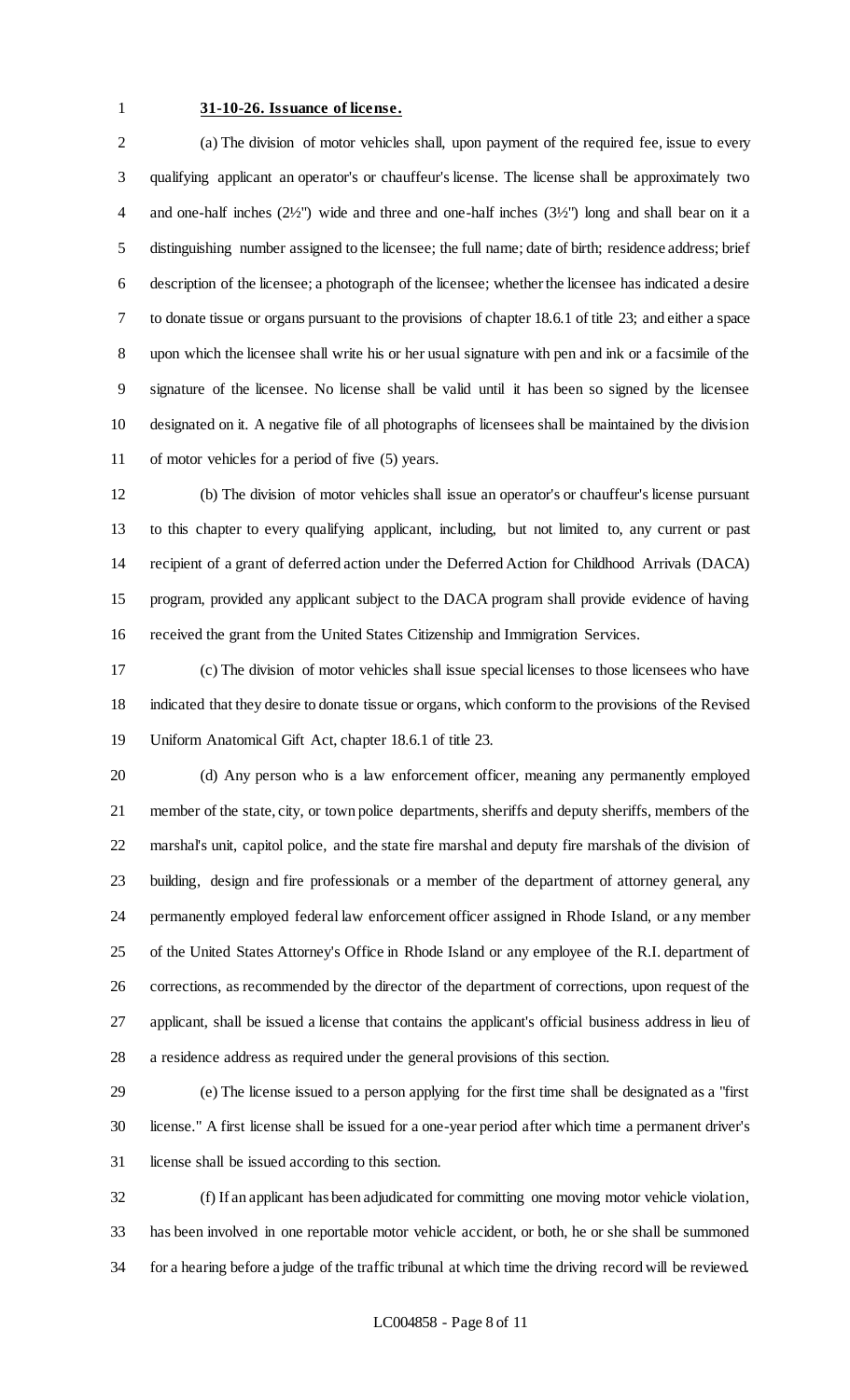### **31-10-26. Issuance of license.**

 (a) The division of motor vehicles shall, upon payment of the required fee, issue to every qualifying applicant an operator's or chauffeur's license. The license shall be approximately two and one-half inches (2½") wide and three and one-half inches (3½") long and shall bear on it a distinguishing number assigned to the licensee; the full name; date of birth; residence address; brief description of the licensee; a photograph of the licensee; whether the licensee has indicated a desire to donate tissue or organs pursuant to the provisions of chapter 18.6.1 of title 23; and either a space upon which the licensee shall write his or her usual signature with pen and ink or a facsimile of the signature of the licensee. No license shall be valid until it has been so signed by the licensee designated on it. A negative file of all photographs of licensees shall be maintained by the division of motor vehicles for a period of five (5) years.

 (b) The division of motor vehicles shall issue an operator's or chauffeur's license pursuant to this chapter to every qualifying applicant, including, but not limited to, any current or past recipient of a grant of deferred action under the Deferred Action for Childhood Arrivals (DACA) program, provided any applicant subject to the DACA program shall provide evidence of having received the grant from the United States Citizenship and Immigration Services.

 (c) The division of motor vehicles shall issue special licenses to those licensees who have indicated that they desire to donate tissue or organs, which conform to the provisions of the Revised Uniform Anatomical Gift Act, chapter 18.6.1 of title 23.

 (d) Any person who is a law enforcement officer, meaning any permanently employed member of the state, city, or town police departments, sheriffs and deputy sheriffs, members of the marshal's unit, capitol police, and the state fire marshal and deputy fire marshals of the division of building, design and fire professionals or a member of the department of attorney general, any permanently employed federal law enforcement officer assigned in Rhode Island, or any member of the United States Attorney's Office in Rhode Island or any employee of the R.I. department of corrections, as recommended by the director of the department of corrections, upon request of the applicant, shall be issued a license that contains the applicant's official business address in lieu of a residence address as required under the general provisions of this section.

 (e) The license issued to a person applying for the first time shall be designated as a "first license." A first license shall be issued for a one-year period after which time a permanent driver's license shall be issued according to this section.

 (f) If an applicant has been adjudicated for committing one moving motor vehicle violation, has been involved in one reportable motor vehicle accident, or both, he or she shall be summoned for a hearing before a judge of the traffic tribunal at which time the driving record will be reviewed.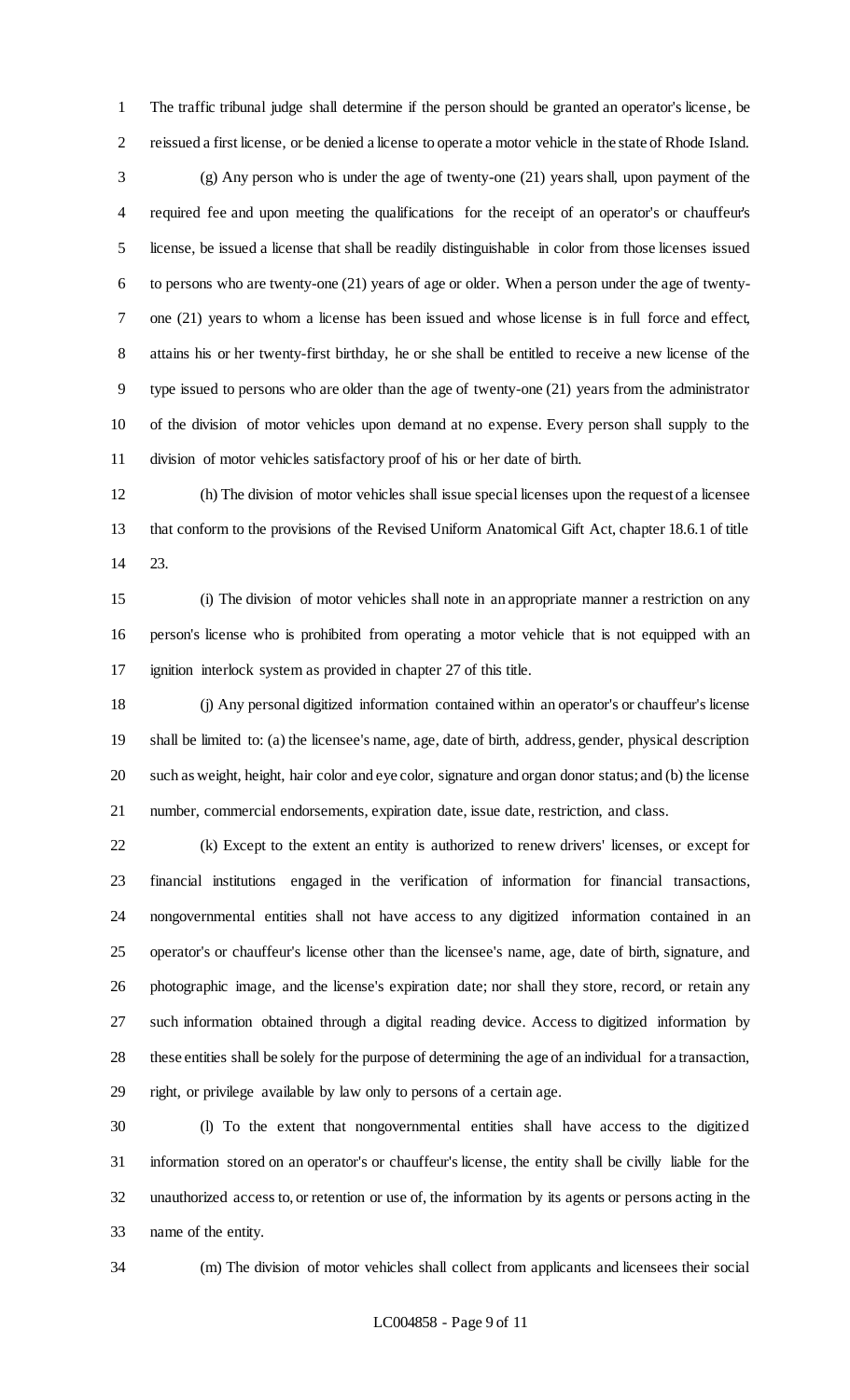The traffic tribunal judge shall determine if the person should be granted an operator's license, be reissued a first license, or be denied a license to operate a motor vehicle in the state of Rhode Island.

 (g) Any person who is under the age of twenty-one (21) years shall, upon payment of the required fee and upon meeting the qualifications for the receipt of an operator's or chauffeur's license, be issued a license that shall be readily distinguishable in color from those licenses issued to persons who are twenty-one (21) years of age or older. When a person under the age of twenty- one (21) years to whom a license has been issued and whose license is in full force and effect, attains his or her twenty-first birthday, he or she shall be entitled to receive a new license of the type issued to persons who are older than the age of twenty-one (21) years from the administrator of the division of motor vehicles upon demand at no expense. Every person shall supply to the division of motor vehicles satisfactory proof of his or her date of birth.

 (h) The division of motor vehicles shall issue special licenses upon the request of a licensee that conform to the provisions of the Revised Uniform Anatomical Gift Act, chapter 18.6.1 of title 23.

 (i) The division of motor vehicles shall note in an appropriate manner a restriction on any person's license who is prohibited from operating a motor vehicle that is not equipped with an ignition interlock system as provided in chapter 27 of this title.

 (j) Any personal digitized information contained within an operator's or chauffeur's license shall be limited to: (a) the licensee's name, age, date of birth, address, gender, physical description such as weight, height, hair color and eye color, signature and organ donor status; and (b) the license number, commercial endorsements, expiration date, issue date, restriction, and class.

 (k) Except to the extent an entity is authorized to renew drivers' licenses, or except for financial institutions engaged in the verification of information for financial transactions, nongovernmental entities shall not have access to any digitized information contained in an operator's or chauffeur's license other than the licensee's name, age, date of birth, signature, and photographic image, and the license's expiration date; nor shall they store, record, or retain any such information obtained through a digital reading device. Access to digitized information by these entities shall be solely for the purpose of determining the age of an individual for a transaction, right, or privilege available by law only to persons of a certain age.

 (l) To the extent that nongovernmental entities shall have access to the digitized information stored on an operator's or chauffeur's license, the entity shall be civilly liable for the unauthorized access to, or retention or use of, the information by its agents or persons acting in the name of the entity.

(m) The division of motor vehicles shall collect from applicants and licensees their social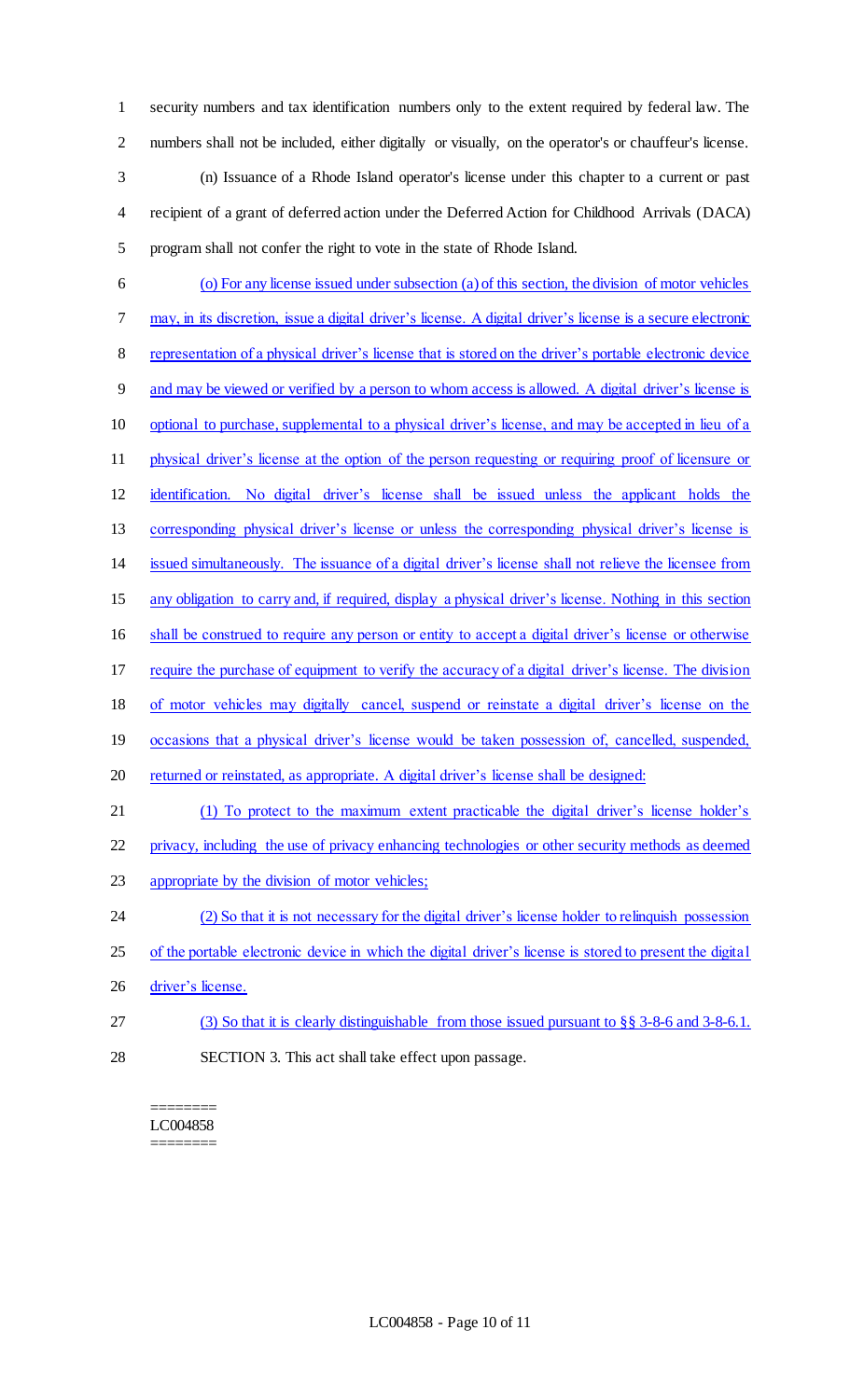security numbers and tax identification numbers only to the extent required by federal law. The numbers shall not be included, either digitally or visually, on the operator's or chauffeur's license.

 (n) Issuance of a Rhode Island operator's license under this chapter to a current or past recipient of a grant of deferred action under the Deferred Action for Childhood Arrivals (DACA) program shall not confer the right to vote in the state of Rhode Island.

 (o) For any license issued under subsection (a) of this section, the division of motor vehicles may, in its discretion, issue a digital driver's license. A digital driver's license is a secure electronic representation of a physical driver's license that is stored on the driver's portable electronic device and may be viewed or verified by a person to whom access is allowed. A digital driver's license is optional to purchase, supplemental to a physical driver's license, and may be accepted in lieu of a physical driver's license at the option of the person requesting or requiring proof of licensure or identification. No digital driver's license shall be issued unless the applicant holds the corresponding physical driver's license or unless the corresponding physical driver's license is issued simultaneously. The issuance of a digital driver's license shall not relieve the licensee from any obligation to carry and, if required, display a physical driver's license. Nothing in this section shall be construed to require any person or entity to accept a digital driver's license or otherwise require the purchase of equipment to verify the accuracy of a digital driver's license. The division of motor vehicles may digitally cancel, suspend or reinstate a digital driver's license on the 19 occasions that a physical driver's license would be taken possession of, cancelled, suspended, 20 returned or reinstated, as appropriate. A digital driver's license shall be designed: (1) To protect to the maximum extent practicable the digital driver's license holder's privacy, including the use of privacy enhancing technologies or other security methods as deemed appropriate by the division of motor vehicles; (2) So that it is not necessary for the digital driver's license holder to relinquish possession 25 of the portable electronic device in which the digital driver's license is stored to present the digital 26 driver's license. (3) So that it is clearly distinguishable from those issued pursuant to §§ 3-8-6 and 3-8-6.1. SECTION 3. This act shall take effect upon passage.

### ======== LC004858 ========